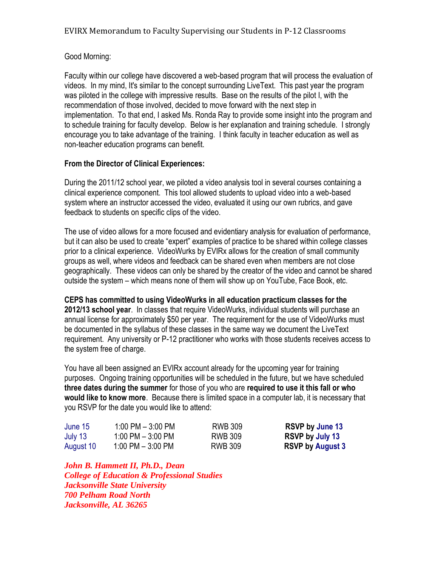## Good Morning:

Faculty within our college have discovered a web-based program that will process the evaluation of videos. In my mind, It's similar to the concept surrounding LiveText. This past year the program was piloted in the college with impressive results. Base on the results of the pilot I, with the recommendation of those involved, decided to move forward with the next step in implementation. To that end, I asked Ms. Ronda Ray to provide some insight into the program and to schedule training for faculty develop. Below is her explanation and training schedule. I strongly encourage you to take advantage of the training. I think faculty in teacher education as well as non-teacher education programs can benefit.

## **From the Director of Clinical Experiences:**

During the 2011/12 school year, we piloted a video analysis tool in several courses containing a clinical experience component. This tool allowed students to upload video into a web-based system where an instructor accessed the video, evaluated it using our own rubrics, and gave feedback to students on specific clips of the video.

The use of video allows for a more focused and evidentiary analysis for evaluation of performance, but it can also be used to create "expert" examples of practice to be shared within college classes prior to a clinical experience. VideoWurks by EVIRx allows for the creation of small community groups as well, where videos and feedback can be shared even when members are not close geographically. These videos can only be shared by the creator of the video and cannot be shared outside the system – which means none of them will show up on YouTube, Face Book, etc.

**CEPS has committed to using VideoWurks in all education practicum classes for the 2012/13 school year**. In classes that require VideoWurks, individual students will purchase an annual license for approximately \$50 per year. The requirement for the use of VideoWurks must be documented in the syllabus of these classes in the same way we document the LiveText requirement. Any university or P-12 practitioner who works with those students receives access to the system free of charge.

You have all been assigned an EVIRx account already for the upcoming year for training purposes. Ongoing training opportunities will be scheduled in the future, but we have scheduled **three dates during the summer** for those of you who are **required to use it this fall or who would like to know more**. Because there is limited space in a computer lab, it is necessary that you RSVP for the date you would like to attend:

| June 15<br>July 13 | $1:00$ PM $-3:00$ PM | RWB 309 | <b>RSVP by June 13</b>  |
|--------------------|----------------------|---------|-------------------------|
|                    | 1:00 PM $-$ 3:00 PM  | RWB 309 | RSVP by July 13         |
| August 10          | 1:00 PM $-$ 3:00 PM  | RWB 309 | <b>RSVP by August 3</b> |

*John B. Hammett II, Ph.D., Dean College of Education & Professional Studies Jacksonville State University 700 Pelham Road North Jacksonville, AL 36265*